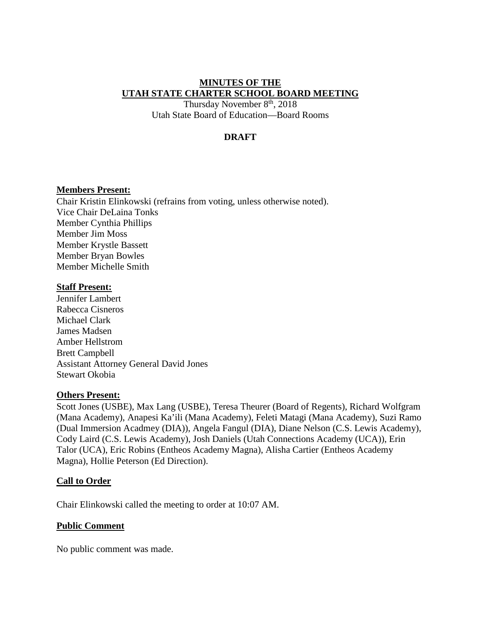### **MINUTES OF THE UTAH STATE CHARTER SCHOOL BOARD MEETING**

Thursday November 8th, 2018 Utah State Board of Education––Board Rooms

## **DRAFT**

#### **Members Present:**

Chair Kristin Elinkowski (refrains from voting, unless otherwise noted). Vice Chair DeLaina Tonks Member Cynthia Phillips Member Jim Moss Member Krystle Bassett Member Bryan Bowles Member Michelle Smith

#### **Staff Present:**

Jennifer Lambert Rabecca Cisneros Michael Clark James Madsen Amber Hellstrom Brett Campbell Assistant Attorney General David Jones Stewart Okobia

#### **Others Present:**

Scott Jones (USBE), Max Lang (USBE), Teresa Theurer (Board of Regents), Richard Wolfgram (Mana Academy), Anapesi Ka'ili (Mana Academy), Feleti Matagi (Mana Academy), Suzi Ramo (Dual Immersion Acadmey (DIA)), Angela Fangul (DIA), Diane Nelson (C.S. Lewis Academy), Cody Laird (C.S. Lewis Academy), Josh Daniels (Utah Connections Academy (UCA)), Erin Talor (UCA), Eric Robins (Entheos Academy Magna), Alisha Cartier (Entheos Academy Magna), Hollie Peterson (Ed Direction).

#### **Call to Order**

Chair Elinkowski called the meeting to order at 10:07 AM.

#### **Public Comment**

No public comment was made.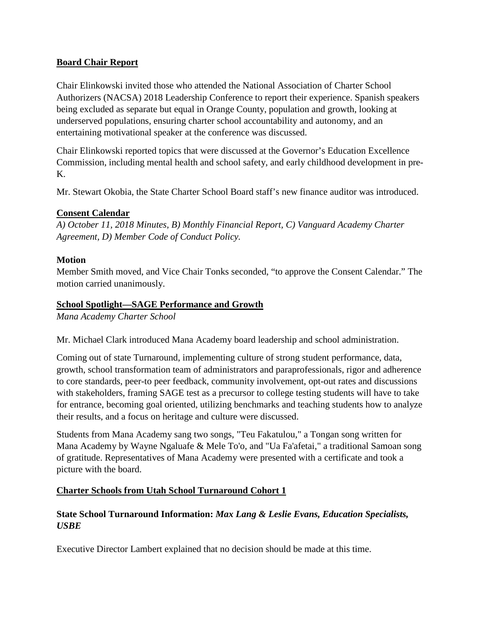## **Board Chair Report**

Chair Elinkowski invited those who attended the National Association of Charter School Authorizers (NACSA) 2018 Leadership Conference to report their experience. Spanish speakers being excluded as separate but equal in Orange County, population and growth, looking at underserved populations, ensuring charter school accountability and autonomy, and an entertaining motivational speaker at the conference was discussed.

Chair Elinkowski reported topics that were discussed at the Governor's Education Excellence Commission, including mental health and school safety, and early childhood development in pre-K.

Mr. Stewart Okobia, the State Charter School Board staff's new finance auditor was introduced.

## **Consent Calendar**

*A) October 11, 2018 Minutes, B) Monthly Financial Report, C) Vanguard Academy Charter Agreement, D) Member Code of Conduct Policy.* 

## **Motion**

Member Smith moved, and Vice Chair Tonks seconded, "to approve the Consent Calendar." The motion carried unanimously.

## **School Spotlight—SAGE Performance and Growth**

*Mana Academy Charter School*

Mr. Michael Clark introduced Mana Academy board leadership and school administration.

Coming out of state Turnaround, implementing culture of strong student performance, data, growth, school transformation team of administrators and paraprofessionals, rigor and adherence to core standards, peer-to peer feedback, community involvement, opt-out rates and discussions with stakeholders, framing SAGE test as a precursor to college testing students will have to take for entrance, becoming goal oriented, utilizing benchmarks and teaching students how to analyze their results, and a focus on heritage and culture were discussed.

Students from Mana Academy sang two songs, "Teu Fakatulou," a Tongan song written for Mana Academy by Wayne Ngaluafe & Mele To'o, and "Ua Fa'afetai," a traditional Samoan song of gratitude. Representatives of Mana Academy were presented with a certificate and took a picture with the board.

# **Charter Schools from Utah School Turnaround Cohort 1**

# **State School Turnaround Information:** *Max Lang & Leslie Evans, Education Specialists, USBE*

Executive Director Lambert explained that no decision should be made at this time.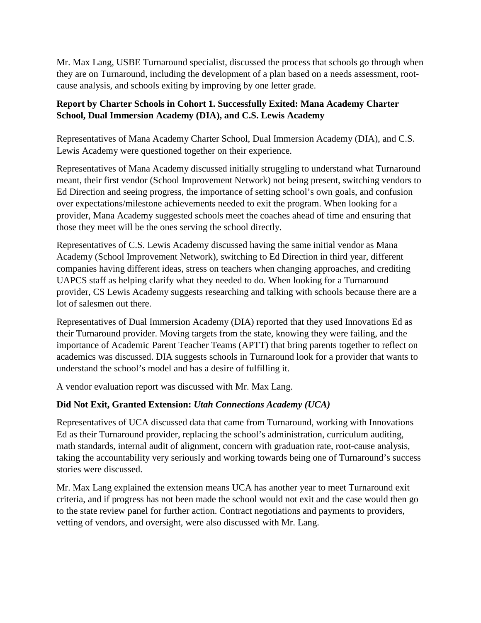Mr. Max Lang, USBE Turnaround specialist, discussed the process that schools go through when they are on Turnaround, including the development of a plan based on a needs assessment, rootcause analysis, and schools exiting by improving by one letter grade.

## **Report by Charter Schools in Cohort 1. Successfully Exited: Mana Academy Charter School, Dual Immersion Academy (DIA), and C.S. Lewis Academy**

Representatives of Mana Academy Charter School, Dual Immersion Academy (DIA), and C.S. Lewis Academy were questioned together on their experience.

Representatives of Mana Academy discussed initially struggling to understand what Turnaround meant, their first vendor (School Improvement Network) not being present, switching vendors to Ed Direction and seeing progress, the importance of setting school's own goals, and confusion over expectations/milestone achievements needed to exit the program. When looking for a provider, Mana Academy suggested schools meet the coaches ahead of time and ensuring that those they meet will be the ones serving the school directly.

Representatives of C.S. Lewis Academy discussed having the same initial vendor as Mana Academy (School Improvement Network), switching to Ed Direction in third year, different companies having different ideas, stress on teachers when changing approaches, and crediting UAPCS staff as helping clarify what they needed to do. When looking for a Turnaround provider, CS Lewis Academy suggests researching and talking with schools because there are a lot of salesmen out there.

Representatives of Dual Immersion Academy (DIA) reported that they used Innovations Ed as their Turnaround provider. Moving targets from the state, knowing they were failing, and the importance of Academic Parent Teacher Teams (APTT) that bring parents together to reflect on academics was discussed. DIA suggests schools in Turnaround look for a provider that wants to understand the school's model and has a desire of fulfilling it.

A vendor evaluation report was discussed with Mr. Max Lang.

# **Did Not Exit, Granted Extension:** *Utah Connections Academy (UCA)*

Representatives of UCA discussed data that came from Turnaround, working with Innovations Ed as their Turnaround provider, replacing the school's administration, curriculum auditing, math standards, internal audit of alignment, concern with graduation rate, root-cause analysis, taking the accountability very seriously and working towards being one of Turnaround's success stories were discussed.

Mr. Max Lang explained the extension means UCA has another year to meet Turnaround exit criteria, and if progress has not been made the school would not exit and the case would then go to the state review panel for further action. Contract negotiations and payments to providers, vetting of vendors, and oversight, were also discussed with Mr. Lang.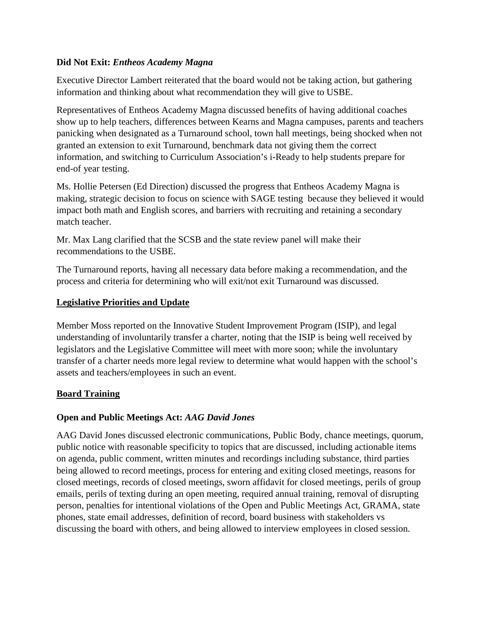## **Did Not Exit:** *Entheos Academy Magna*

Executive Director Lambert reiterated that the board would not be taking action, but gathering information and thinking about what recommendation they will give to USBE.

Representatives of Entheos Academy Magna discussed benefits of having additional coaches show up to help teachers, differences between Kearns and Magna campuses, parents and teachers panicking when designated as a Turnaround school, town hall meetings, being shocked when not granted an extension to exit Turnaround, benchmark data not giving them the correct information, and switching to Curriculum Association's i-Ready to help students prepare for end-of year testing.

Ms. Hollie Petersen (Ed Direction) discussed the progress that Entheos Academy Magna is making, strategic decision to focus on science with SAGE testing because they believed it would impact both math and English scores, and barriers with recruiting and retaining a secondary match teacher.

Mr. Max Lang clarified that the SCSB and the state review panel will make their recommendations to the USBE.

The Turnaround reports, having all necessary data before making a recommendation, and the process and criteria for determining who will exit/not exit Turnaround was discussed.

## **Legislative Priorities and Update**

Member Moss reported on the Innovative Student Improvement Program (ISIP), and legal understanding of involuntarily transfer a charter, noting that the ISIP is being well received by legislators and the Legislative Committee will meet with more soon; while the involuntary transfer of a charter needs more legal review to determine what would happen with the school's assets and teachers/employees in such an event.

# **Board Training**

### **Open and Public Meetings Act:** *AAG David Jones*

AAG David Jones discussed electronic communications, Public Body, chance meetings, quorum, public notice with reasonable specificity to topics that are discussed, including actionable items on agenda, public comment, written minutes and recordings including substance, third parties being allowed to record meetings, process for entering and exiting closed meetings, reasons for closed meetings, records of closed meetings, sworn affidavit for closed meetings, perils of group emails, perils of texting during an open meeting, required annual training, removal of disrupting person, penalties for intentional violations of the Open and Public Meetings Act, GRAMA, state phones, state email addresses, definition of record, board business with stakeholders vs discussing the board with others, and being allowed to interview employees in closed session.